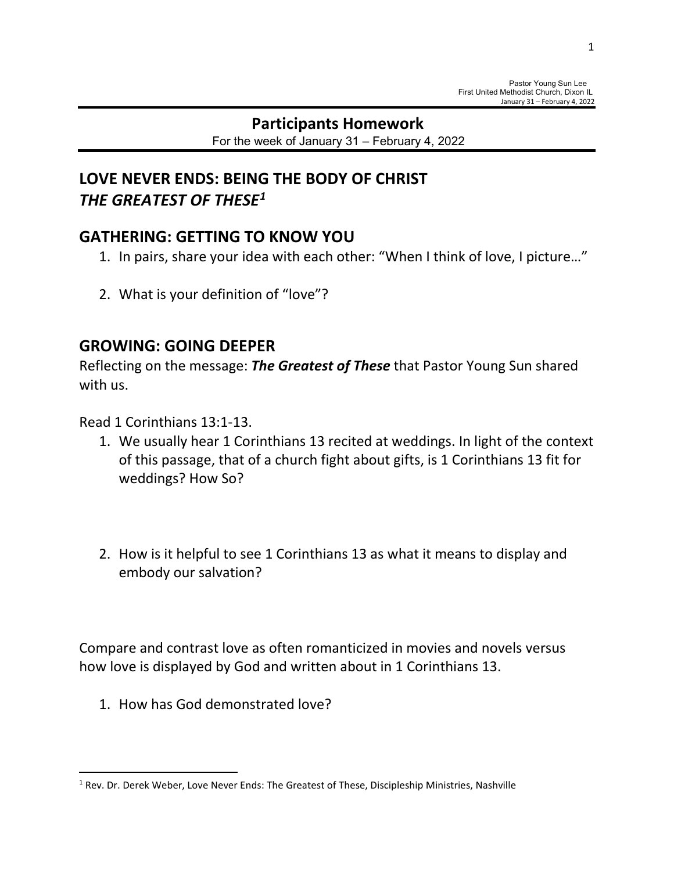## **Participants Homework**

For the week of January 31 – February 4, 2022

# **LOVE NEVER ENDS: BEING THE BODY OF CHRIST** *THE GREATEST OF THESE[1](#page-0-0)*

### **GATHERING: GETTING TO KNOW YOU**

- 1. In pairs, share your idea with each other: "When I think of love, I picture…"
- 2. What is your definition of "love"?

### **GROWING: GOING DEEPER**

Reflecting on the message: *The Greatest of These* that Pastor Young Sun shared with us.

Read 1 Corinthians 13:1-13.

- 1. We usually hear 1 Corinthians 13 recited at weddings. In light of the context of this passage, that of a church fight about gifts, is 1 Corinthians 13 fit for weddings? How So?
- 2. How is it helpful to see 1 Corinthians 13 as what it means to display and embody our salvation?

Compare and contrast love as often romanticized in movies and novels versus how love is displayed by God and written about in 1 Corinthians 13.

1. How has God demonstrated love?

<span id="page-0-0"></span><sup>&</sup>lt;sup>1</sup> Rev. Dr. Derek Weber, Love Never Ends: The Greatest of These, Discipleship Ministries, Nashville